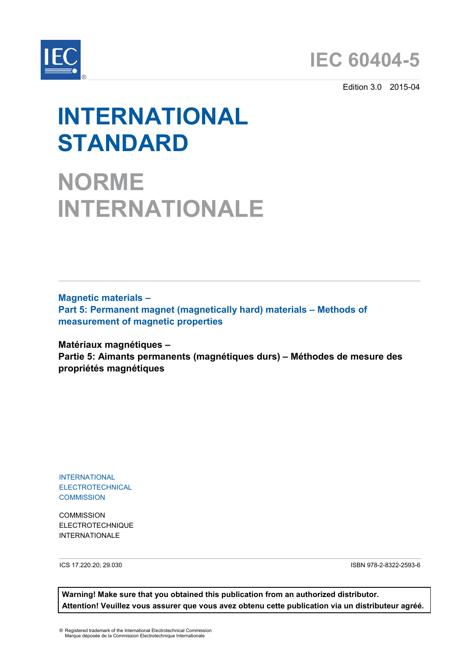

Edition 3.0 2015-04

# **INTERNATIONAL STANDARD**

**NORME INTERNATIONALE**

**Magnetic materials – Part 5: Permanent magnet (magnetically hard) materials – Methods of measurement of magnetic properties**

**Matériaux magnétiques –** 

**Partie 5: Aimants permanents (magnétiques durs) – Méthodes de mesure des propriétés magnétiques**

INTERNATIONAL **ELECTROTECHNICAL COMMISSION** 

**COMMISSION** ELECTROTECHNIQUE INTERNATIONALE

ICS 17.220.20; 29.030 ISBN 978-2-8322-2593-6

**Warning! Make sure that you obtained this publication from an authorized distributor. Attention! Veuillez vous assurer que vous avez obtenu cette publication via un distributeur agréé.**

® Registered trademark of the International Electrotechnical Commission Marque déposée de la Commission Electrotechnique Internationale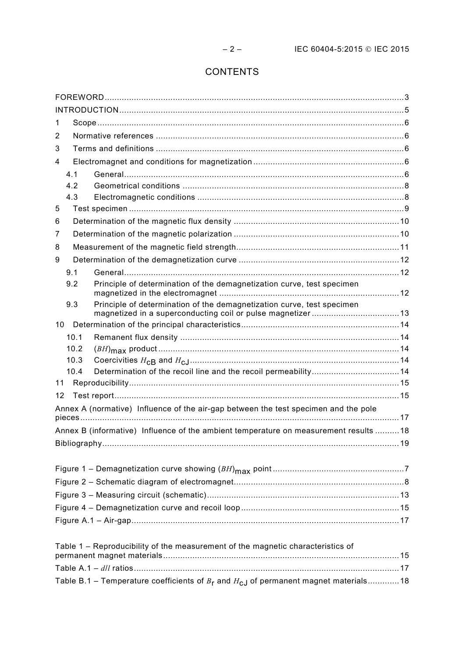# CONTENTS

| 1                 |                                                                                             |  |  |  |
|-------------------|---------------------------------------------------------------------------------------------|--|--|--|
| 2                 |                                                                                             |  |  |  |
| 3                 |                                                                                             |  |  |  |
| 4                 |                                                                                             |  |  |  |
| 4.1               |                                                                                             |  |  |  |
| 4.2               |                                                                                             |  |  |  |
| 4.3               |                                                                                             |  |  |  |
| 5                 |                                                                                             |  |  |  |
| 6                 |                                                                                             |  |  |  |
| 7                 |                                                                                             |  |  |  |
| 8                 |                                                                                             |  |  |  |
| 9                 |                                                                                             |  |  |  |
| 9.1               |                                                                                             |  |  |  |
| 9.2               | Principle of determination of the demagnetization curve, test specimen                      |  |  |  |
| 9.3               | Principle of determination of the demagnetization curve, test specimen                      |  |  |  |
|                   |                                                                                             |  |  |  |
| 10                |                                                                                             |  |  |  |
| 10.1              |                                                                                             |  |  |  |
| 10.2              |                                                                                             |  |  |  |
| 10.3              |                                                                                             |  |  |  |
| 10.4<br>11        | Determination of the recoil line and the recoil permeability 14                             |  |  |  |
| $12 \overline{ }$ |                                                                                             |  |  |  |
|                   | Annex A (normative) Influence of the air-gap between the test specimen and the pole         |  |  |  |
|                   |                                                                                             |  |  |  |
|                   | Annex B (informative) Influence of the ambient temperature on measurement results  18       |  |  |  |
|                   |                                                                                             |  |  |  |
|                   |                                                                                             |  |  |  |
|                   |                                                                                             |  |  |  |
|                   |                                                                                             |  |  |  |
|                   |                                                                                             |  |  |  |
|                   |                                                                                             |  |  |  |
|                   |                                                                                             |  |  |  |
|                   |                                                                                             |  |  |  |
|                   | Table 1 - Reproducibility of the measurement of the magnetic characteristics of             |  |  |  |
|                   |                                                                                             |  |  |  |
|                   |                                                                                             |  |  |  |
|                   | Table B.1 – Temperature coefficients of $B_r$ and $H_{c,j}$ of permanent magnet materials18 |  |  |  |
|                   |                                                                                             |  |  |  |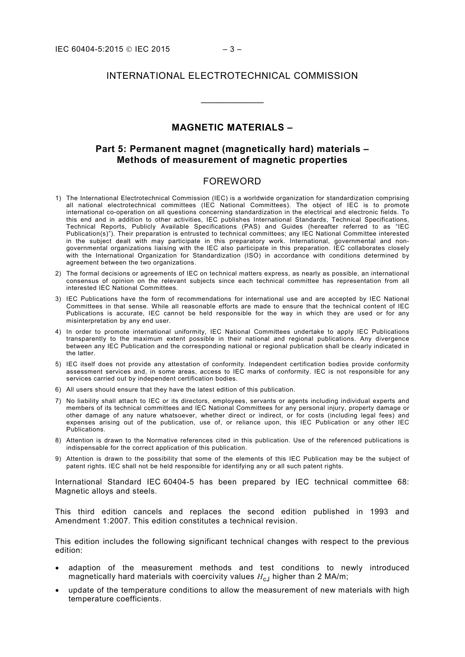# INTERNATIONAL ELECTROTECHNICAL COMMISSION

 $\overline{\phantom{a}}$ 

# **MAGNETIC MATERIALS –**

## **Part 5: Permanent magnet (magnetically hard) materials – Methods of measurement of magnetic properties**

#### FOREWORD

- <span id="page-2-0"></span>1) The International Electrotechnical Commission (IEC) is a worldwide organization for standardization comprising all national electrotechnical committees (IEC National Committees). The object of IEC is to promote international co-operation on all questions concerning standardization in the electrical and electronic fields. To this end and in addition to other activities, IEC publishes International Standards, Technical Specifications, Technical Reports, Publicly Available Specifications (PAS) and Guides (hereafter referred to as "IEC Publication(s)"). Their preparation is entrusted to technical committees; any IEC National Committee interested in the subject dealt with may participate in this preparatory work. International, governmental and nongovernmental organizations liaising with the IEC also participate in this preparation. IEC collaborates closely with the International Organization for Standardization (ISO) in accordance with conditions determined by agreement between the two organizations.
- 2) The formal decisions or agreements of IEC on technical matters express, as nearly as possible, an international consensus of opinion on the relevant subjects since each technical committee has representation from all interested IEC National Committees.
- 3) IEC Publications have the form of recommendations for international use and are accepted by IEC National Committees in that sense. While all reasonable efforts are made to ensure that the technical content of IEC Publications is accurate, IEC cannot be held responsible for the way in which they are used or for any misinterpretation by any end user.
- 4) In order to promote international uniformity, IEC National Committees undertake to apply IEC Publications transparently to the maximum extent possible in their national and regional publications. Any divergence between any IEC Publication and the corresponding national or regional publication shall be clearly indicated in the latter.
- 5) IEC itself does not provide any attestation of conformity. Independent certification bodies provide conformity assessment services and, in some areas, access to IEC marks of conformity. IEC is not responsible for any services carried out by independent certification bodies.
- 6) All users should ensure that they have the latest edition of this publication.
- 7) No liability shall attach to IEC or its directors, employees, servants or agents including individual experts and members of its technical committees and IEC National Committees for any personal injury, property damage or other damage of any nature whatsoever, whether direct or indirect, or for costs (including legal fees) and expenses arising out of the publication, use of, or reliance upon, this IEC Publication or any other IEC Publications.
- 8) Attention is drawn to the Normative references cited in this publication. Use of the referenced publications is indispensable for the correct application of this publication.
- 9) Attention is drawn to the possibility that some of the elements of this IEC Publication may be the subject of patent rights. IEC shall not be held responsible for identifying any or all such patent rights.

International Standard IEC 60404-5 has been prepared by IEC technical committee 68: Magnetic alloys and steels.

This third edition cancels and replaces the second edition published in 1993 and Amendment 1:2007. This edition constitutes a technical revision.

This edition includes the following significant technical changes with respect to the previous edition:

- adaption of the measurement methods and test conditions to newly introduced magnetically hard materials with coercivity values  $H_{c1}$  higher than 2 MA/m;
- update of the temperature conditions to allow the measurement of new materials with high temperature coefficients.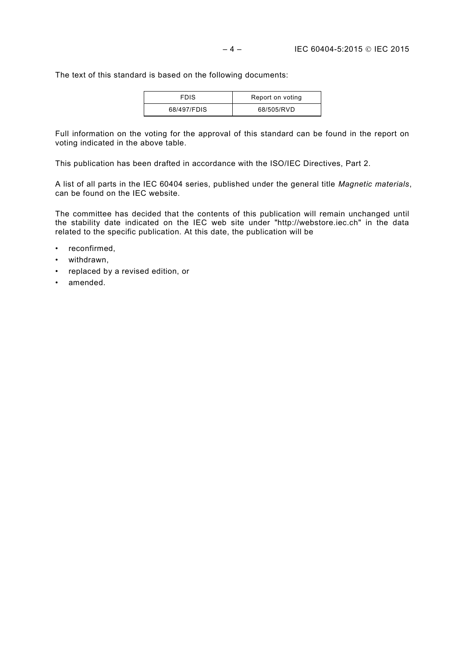The text of this standard is based on the following documents:

| <b>FDIS</b> | Report on voting |
|-------------|------------------|
| 68/497/FDIS | 68/505/RVD       |

Full information on the voting for the approval of this standard can be found in the report on voting indicated in the above table.

This publication has been drafted in accordance with the ISO/IEC Directives, Part 2.

A list of all parts in the IEC 60404 series, published under the general title *Magnetic materials*, can be found on the IEC website.

The committee has decided that the contents of this publication will remain unchanged until the stability date indicated on the IEC web site under "http://webstore.iec.ch" in the data related to the specific publication. At this date, the publication will be

- reconfirmed,
- withdrawn,
- replaced by a revised edition, or
- amended.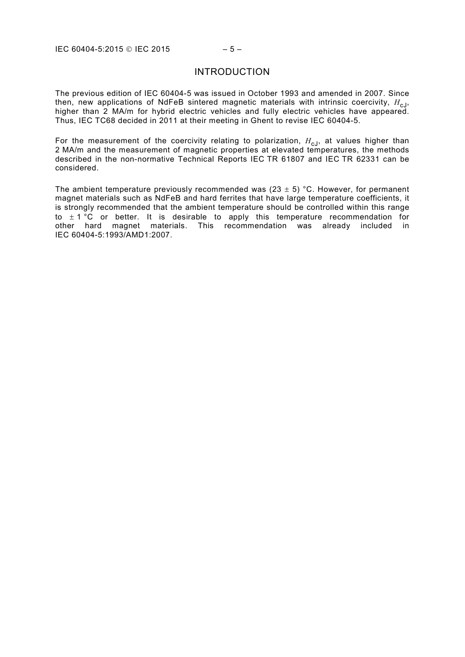## INTRODUCTION

<span id="page-4-0"></span>The previous edition of IEC 60404-5 was issued in October 1993 and amended in 2007. Since then, new applications of NdFeB sintered magnetic materials with intrinsic coercivity,  $H_{c,1}$ , higher than 2 MA/m for hybrid electric vehicles and fully electric vehicles have appeared. Thus, IEC TC68 decided in 2011 at their meeting in Ghent to revise IEC 60404-5.

For the measurement of the coercivity relating to polarization,  $H_{c,j}$ , at values higher than 2 MA/m and the measurement of magnetic properties at elevated temperatures, the methods described in the non-normative Technical Reports IEC TR 61807 and IEC TR 62331 can be considered.

The ambient temperature previously recommended was  $(23 \pm 5)$  °C. However, for permanent magnet materials such as NdFeB and hard ferrites that have large temperature coefficients, it is strongly recommended that the ambient temperature should be controlled within this range to  $\pm$  1 °C or better. It is desirable to apply this temperature recommendation for other hard magnet materials. This recommendation was already included in IEC 60404-5:1993/AMD1:2007.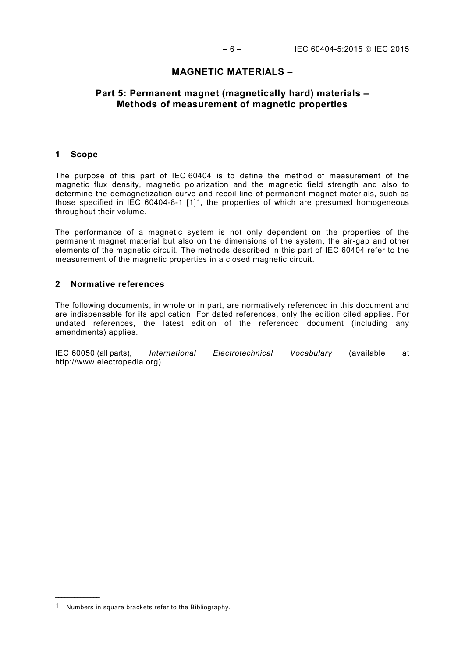# **MAGNETIC MATERIALS –**

# **Part 5: Permanent magnet (magnetically hard) materials – Methods of measurement of magnetic properties**

### <span id="page-5-0"></span>**1 Scope**

The purpose of this part of IEC 60404 is to define the method of measurement of the magnetic flux density, magnetic polarization and the magnetic field strength and also to determine the demagnetization curve and recoil line of permanent magnet materials, such as those specified in IEC 60404-8-1  $[1]$ <sup>1</sup>, the properties of which are presumed homogeneous throughout their volume.

The performance of a magnetic system is not only dependent on the properties of the permanent magnet material but also on the dimensions of the system, the air-gap and other elements of the magnetic circuit. The methods described in this part of IEC 60404 refer to the measurement of the magnetic properties in a closed magnetic circuit.

## <span id="page-5-1"></span>**2 Normative references**

The following documents, in whole or in part, are normatively referenced in this document and are indispensable for its application. For dated references, only the edition cited applies. For undated references, the latest edition of the referenced document (including any amendments) applies.

<span id="page-5-4"></span><span id="page-5-3"></span><span id="page-5-2"></span>IEC 60050 (all parts), *International Electrotechnical Vocabulary* (available at http:/[/www.electropedia.org\)](http://www.electropedia.org/)

\_\_\_\_\_\_\_\_\_\_\_\_\_\_

<span id="page-5-5"></span><sup>1</sup> Numbers in square brackets refer to the Bibliography.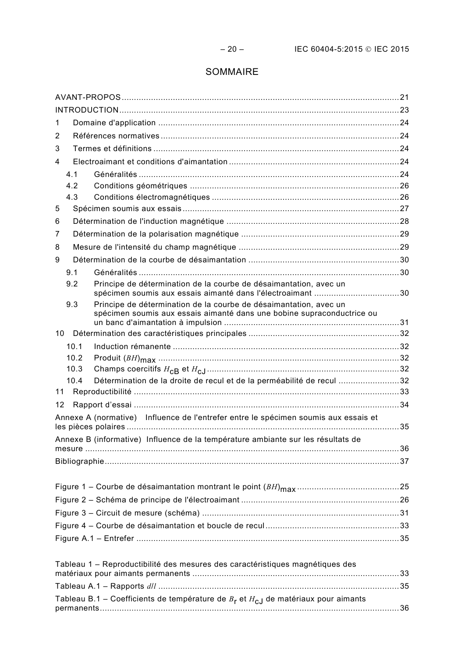# SOMMAIRE

| 1  |              |                                                                                                                                             |  |  |  |  |
|----|--------------|---------------------------------------------------------------------------------------------------------------------------------------------|--|--|--|--|
| 2  |              |                                                                                                                                             |  |  |  |  |
| 3  |              |                                                                                                                                             |  |  |  |  |
| 4  |              |                                                                                                                                             |  |  |  |  |
|    | 4.1          |                                                                                                                                             |  |  |  |  |
|    | 4.2          |                                                                                                                                             |  |  |  |  |
|    | 4.3          |                                                                                                                                             |  |  |  |  |
| 5  |              |                                                                                                                                             |  |  |  |  |
| 6  |              |                                                                                                                                             |  |  |  |  |
| 7  |              |                                                                                                                                             |  |  |  |  |
| 8  |              |                                                                                                                                             |  |  |  |  |
| 9  |              |                                                                                                                                             |  |  |  |  |
|    | 9.1          |                                                                                                                                             |  |  |  |  |
|    | 9.2          | Principe de détermination de la courbe de désaimantation, avec un<br>spécimen soumis aux essais aimanté dans l'électroaimant 30             |  |  |  |  |
|    | 9.3          | Principe de détermination de la courbe de désaimantation, avec un<br>spécimen soumis aux essais aimanté dans une bobine supraconductrice ou |  |  |  |  |
|    |              |                                                                                                                                             |  |  |  |  |
| 10 |              |                                                                                                                                             |  |  |  |  |
|    | 10.1<br>10.2 |                                                                                                                                             |  |  |  |  |
|    | 10.3         |                                                                                                                                             |  |  |  |  |
|    | 10.4         | Détermination de la droite de recul et de la perméabilité de recul 32                                                                       |  |  |  |  |
| 11 |              |                                                                                                                                             |  |  |  |  |
| 12 |              |                                                                                                                                             |  |  |  |  |
|    |              | Annexe A (normative) Influence de l'entrefer entre le spécimen soumis aux essais et                                                         |  |  |  |  |
|    |              |                                                                                                                                             |  |  |  |  |
|    |              | Annexe B (informative) Influence de la température ambiante sur les résultats de                                                            |  |  |  |  |
|    |              |                                                                                                                                             |  |  |  |  |
|    |              |                                                                                                                                             |  |  |  |  |
|    |              |                                                                                                                                             |  |  |  |  |
|    |              |                                                                                                                                             |  |  |  |  |
|    |              |                                                                                                                                             |  |  |  |  |
|    |              |                                                                                                                                             |  |  |  |  |
|    |              |                                                                                                                                             |  |  |  |  |
|    |              |                                                                                                                                             |  |  |  |  |
|    |              |                                                                                                                                             |  |  |  |  |
|    |              | Tableau 1 - Reproductibilité des mesures des caractéristiques magnétiques des                                                               |  |  |  |  |
|    |              |                                                                                                                                             |  |  |  |  |
|    |              |                                                                                                                                             |  |  |  |  |
|    |              | Tableau B.1 – Coefficients de température de $B_f$ et $H_{\text{c},J}$ de matériaux pour aimants                                            |  |  |  |  |
|    |              |                                                                                                                                             |  |  |  |  |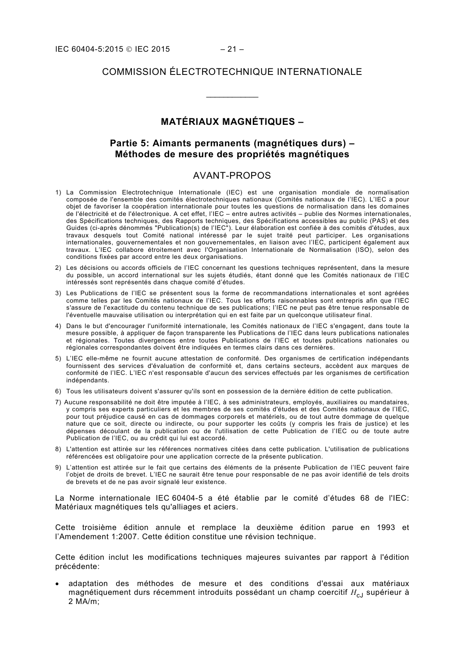## COMMISSION ÉLECTROTECHNIQUE INTERNATIONALE

\_\_\_\_\_\_\_\_\_\_\_\_

# **MATÉRIAUX MAGNÉTIQUES –**

# **Partie 5: Aimants permanents (magnétiques durs) – Méthodes de mesure des propriétés magnétiques**

## AVANT-PROPOS

- <span id="page-7-0"></span>1) La Commission Electrotechnique Internationale (IEC) est une organisation mondiale de normalisation composée de l'ensemble des comités électrotechniques nationaux (Comités nationaux de l'IEC). L'IEC a pour objet de favoriser la coopération internationale pour toutes les questions de normalisation dans les domaines de l'électricité et de l'électronique. A cet effet, l'IEC – entre autres activités – publie des Normes internationales, des Spécifications techniques, des Rapports techniques, des Spécifications accessibles au public (PAS) et des Guides (ci-après dénommés "Publication(s) de l'IEC"). Leur élaboration est confiée à des comités d'études, aux travaux desquels tout Comité national intéressé par le sujet traité peut participer. Les organisations internationales, gouvernementales et non gouvernementales, en liaison avec l'IEC, participent également aux travaux. L'IEC collabore étroitement avec l'Organisation Internationale de Normalisation (ISO), selon des conditions fixées par accord entre les deux organisations.
- 2) Les décisions ou accords officiels de l'IEC concernant les questions techniques représentent, dans la mesure du possible, un accord international sur les sujets étudiés, étant donné que les Comités nationaux de l'IEC intéressés sont représentés dans chaque comité d'études.
- 3) Les Publications de l'IEC se présentent sous la forme de recommandations internationales et sont agréées comme telles par les Comités nationaux de l'IEC. Tous les efforts raisonnables sont entrepris afin que l'IEC s'assure de l'exactitude du contenu technique de ses publications; l'IEC ne peut pas être tenue responsable de l'éventuelle mauvaise utilisation ou interprétation qui en est faite par un quelconque utilisateur final.
- 4) Dans le but d'encourager l'uniformité internationale, les Comités nationaux de l'IEC s'engagent, dans toute la mesure possible, à appliquer de façon transparente les Publications de l'IEC dans leurs publications nationales et régionales. Toutes divergences entre toutes Publications de l'IEC et toutes publications nationales ou régionales correspondantes doivent être indiquées en termes clairs dans ces dernières.
- 5) L'IEC elle-même ne fournit aucune attestation de conformité. Des organismes de certification indépendants fournissent des services d'évaluation de conformité et, dans certains secteurs, accèdent aux marques de conformité de l'IEC. L'IEC n'est responsable d'aucun des services effectués par les organismes de certification indépendants.
- 6) Tous les utilisateurs doivent s'assurer qu'ils sont en possession de la dernière édition de cette publication.
- 7) Aucune responsabilité ne doit être imputée à l'IEC, à ses administrateurs, employés, auxiliaires ou mandataires, y compris ses experts particuliers et les membres de ses comités d'études et des Comités nationaux de l'IEC, pour tout préjudice causé en cas de dommages corporels et matériels, ou de tout autre dommage de quelque nature que ce soit, directe ou indirecte, ou pour supporter les coûts (y compris les frais de justice) et les dépenses découlant de la publication ou de l'utilisation de cette Publication de l'IEC ou de toute autre Publication de l'IEC, ou au crédit qui lui est accordé.
- 8) L'attention est attirée sur les références normatives citées dans cette publication. L'utilisation de publications référencées est obligatoire pour une application correcte de la présente publication.
- 9) L'attention est attirée sur le fait que certains des éléments de la présente Publication de l'IEC peuvent faire l'objet de droits de brevet. L'IEC ne saurait être tenue pour responsable de ne pas avoir identifié de tels droits de brevets et de ne pas avoir signalé leur existence.

La Norme internationale IEC 60404-5 a été établie par le comité d'études 68 de l'IEC: Matériaux magnétiques tels qu'alliages et aciers.

Cette troisième édition annule et remplace la deuxième édition parue en 1993 et l'Amendement 1:2007. Cette édition constitue une révision technique.

Cette édition inclut les modifications techniques majeures suivantes par rapport à l'édition précédente:

• adaptation des méthodes de mesure et des conditions d'essai aux matériaux magnétiquement durs récemment introduits possédant un champ coercitif *H<sub>cJ</sub>* supérieur à 2 MA/m;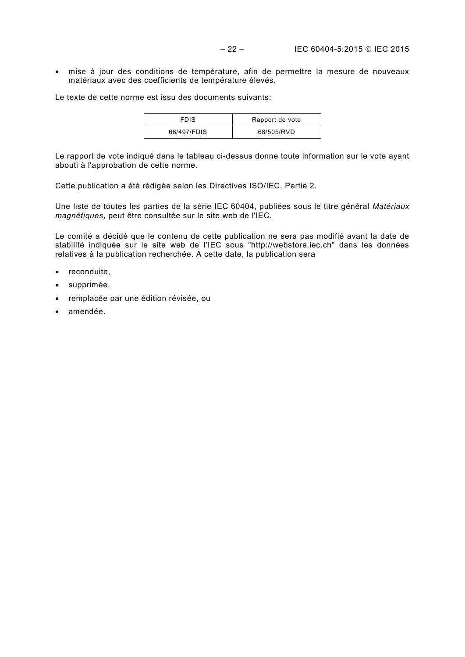• mise à jour des conditions de température, afin de permettre la mesure de nouveaux matériaux avec des coefficients de température élevés.

Le texte de cette norme est issu des documents suivants:

| <b>FDIS</b> | Rapport de vote |
|-------------|-----------------|
| 68/497/FDIS | 68/505/RVD      |

Le rapport de vote indiqué dans le tableau ci-dessus donne toute information sur le vote ayant abouti à l'approbation de cette norme.

Cette publication a été rédigée selon les Directives ISO/IEC, Partie 2.

Une liste de toutes les parties de la série IEC 60404, publiées sous le titre général *Matériaux magnétiques,* peut être consultée sur le site web de l'IEC.

Le comité a décidé que le contenu de cette publication ne sera pas modifié avant la date de stabilité indiquée sur le site web de l'IEC sous "http://webstore.iec.ch" dans les données relatives à la publication recherchée. A cette date, la publication sera

- reconduite,
- supprimée,
- remplacée par une édition révisée, ou
- amendée.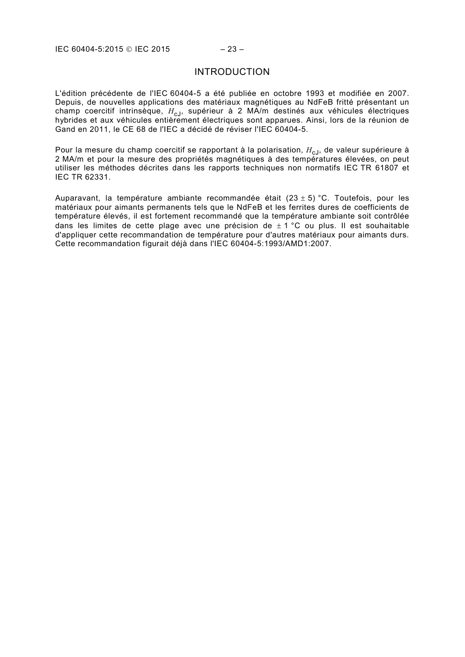## INTRODUCTION

<span id="page-9-0"></span>L'édition précédente de l'IEC 60404-5 a été publiée en octobre 1993 et modifiée en 2007. Depuis, de nouvelles applications des matériaux magnétiques au NdFeB fritté présentant un champ coercitif intrinsèque, *H*cJ, supérieur à 2 MA/m destinés aux véhicules électriques hybrides et aux véhicules entièrement électriques sont apparues. Ainsi, lors de la réunion de Gand en 2011, le CE 68 de l'IEC a décidé de réviser l'IEC 60404-5.

Pour la mesure du champ coercitif se rapportant à la polarisation,  $H_{cJ}$ , de valeur supérieure à 2 MA/m et pour la mesure des propriétés magnétiques à des températures élevées, on peut utiliser les méthodes décrites dans les rapports techniques non normatifs IEC TR 61807 et IEC TR 62331.

Auparavant, la température ambiante recommandée était  $(23 \pm 5)$  °C. Toutefois, pour les matériaux pour aimants permanents tels que le NdFeB et les ferrites dures de coefficients de température élevés, il est fortement recommandé que la température ambiante soit contrôlée dans les limites de cette plage avec une précision de  $\pm$  1 °C ou plus. Il est souhaitable d'appliquer cette recommandation de température pour d'autres matériaux pour aimants durs. Cette recommandation figurait déjà dans l'IEC 60404-5:1993/AMD1:2007.